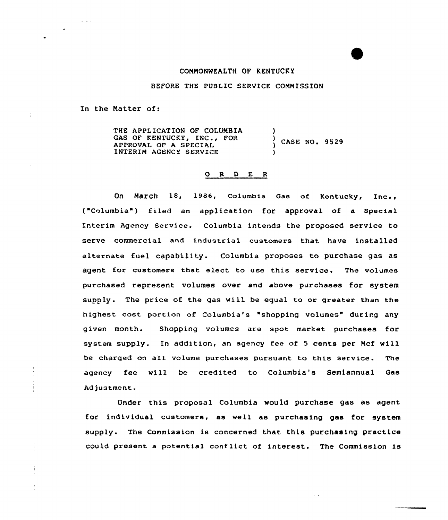## COMNONWEALTH OF KENTUCKY

BEFORE THE PUBLIC SERVICE COMMISSION

In the Natter of:

والقاطا والمتواطن

÷

THE APPLICATION OF COLUNBIA GAS OF KENTUCKY, INC., FOR APPROVAL OF A SPECIAL INTERIN AGENCY SERVICE ) ) ) CASE NO. 9529 )

## 0 <sup>R</sup> <sup>D</sup> E <sup>R</sup>

On March 18, 1986, Columbia Gas of Kentucky, Inc., t"Columbia") filed an application for approval of a Special Interim Agency Service. Columbia intends the proposed service to serve commercial and industrial customers that have installed alternate fuel capability. Columbia proposes to purchase gas as agent for customers that elect to use this service. The volumes purchased represent volumes over and above purchases for system supply. The price of the gas will be equal to or greater than the highest cost portion of Columbia's "shopping volumes" during any given month. Shopping volumes are spot market purchases for system supply. In addition, an agency fee of <sup>5</sup> cents per Mcf will be charged on all volume purchases pursuant to this service. The agency fee will be credited to Columbia's Semiannual Qas Adjustment.

Under this proposal Columbia would purchase gas as agent for individual customers, as well as purchasing gas for system supply. The Commission is concerned that this purchasing practice could present <sup>a</sup> potential conflict of interest. The Commission is

 $\ddot{\phantom{a}}$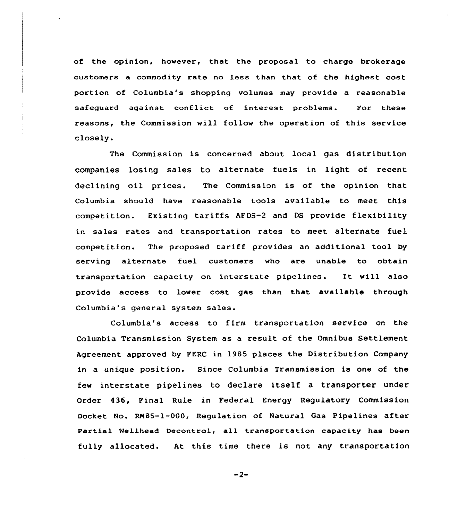of the opinion, however, that the proposal to charge brokerage customers a commodity rate no less than that of the highest cost portion of Columbia's shopping volumes may provide a reasonable safeguard against conflict of interest problems. For these reasons, the Commission will follow the operation of this service closely.

The Commission is concerned about local gas distribution companies losing sales to alternate fuels in light of recent declining oil prices. The Commission is of the opinion that Columbia should have reasonable tools available to meet this competition. Existing tariffs AFDS-2 and DS provide flexibility in sales rates and transportation rates to meet alternate fuel competition. The proposed tariff provides an additional tool by serving alternate fuel customers who are unable to obtain transportation capacity on interstate pipelines. It will also provide access to lower cost gas than that available through Columbia's general system sales.

Columbia's access to firm transportation service on the Columbia Transmission System as a result of the Omnibus Settlement Agreement approved by FERC in 1985 places the Distribution Company in a unique position. Since Columbia Transmission is one of the few interstate pipelines to declare itself a transporter under Order 436, Final Rule in Federal Energy Regulatory Commission Docket No. RN85-1-000, Regulation of Natural Gas Pipelines after Partial Wellhead Decontrol, all transportation capacity has been fully allocated. At this time there is not any transportation

 $-2-$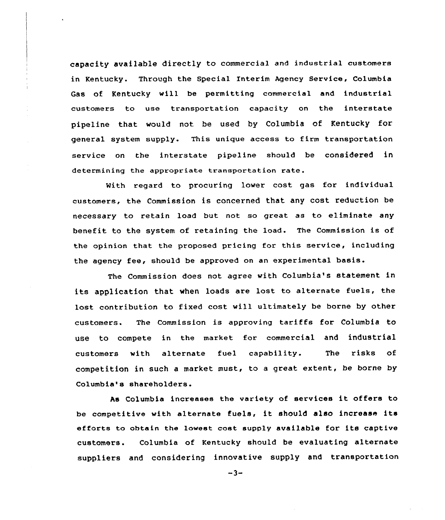capacity available directly to commercial and industrial customers in Kentucky. Through the Special Interim Agency Service, Columbia Gas of Kentucky will be permitting commercial and industrial customers to use transportation capacity on the interstate pipeline that would not be used by Columbia of Kentucky for general system supply. This unique access to firm transportation service on the interstate pipeline should be considered in determining the appropriate transportation rate.

With regard to procuring lower cost gas for individual customers, the Commission is concerned that any cost reduction be necessary to retain load but not so great as to eliminate any benefit to the system of retaining the load. The Commission is of the opinion that the proposed pricing for this service, including the agency fee, should be approved on an experimental basis.

The Commission does not agree with Columbia's statement in its application that when loads are lost to alternate fuels, the lost contribution to fixed cost will ultimately be borne by other customers. The Commission is approving tariffs for Columbia to use to compete in the market for commercial and industrial customers with alternate fuel capability. The risks of competition in such a market must, to <sup>a</sup> great extent, be borne by Columbia's shareholders.

As Columbia increases the variety of services it offers to be competitive with alternate fuels, it should also increase its efforts to obtain the lowest cost supply available for its captive customers. Columbia of Kentucky should be evaluating alternate suppliers and considering innovative supply and transportation

 $-3-$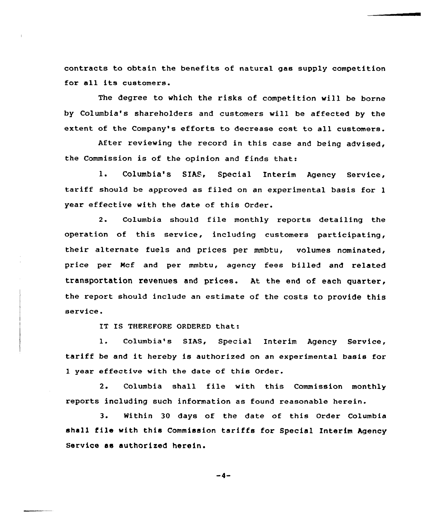contracts to obtain the benefits of natural gas supply competition for all its customers.

The degree to which the risks of competition will be borne by Columbia's shareholders and customers will be affected by the extent of the Company's efforts to decrease cost to all customers.

After reviewing the record in this case and being advised, the Commission is of the opinion and finds that:

1. Columbia's SIAS, Special Interim Agency Service, tariff should he approved as filed on an experimental basis for <sup>1</sup> year effective with the date of this Order.

2. Columbia should file monthly reports detailing the operation of this service, including customers participating, their alternate fuels and prices per mmbtu, volumes nominated, price per Mcf and per mmbtu, agency fees billed and related transportation revenues and prices. At the end of each quarter, the report should include an estimate of the costs to provide this service.

IT IS THEREFORE ORDERED that:

1. Columbia's BIAS, Special Interim Agency Service, tariff be and it hereby is authorized on an experimental basis for <sup>1</sup> year effective with the date of this Order.

2. Columbia shall file with this Commission monthly reports including such information as found reasonable herein.

3. Within 3Q days of the date of this Order Columbia shall file with this Commission tariffs for Special Interim Agency Service as authorized herein.

 $-4-$